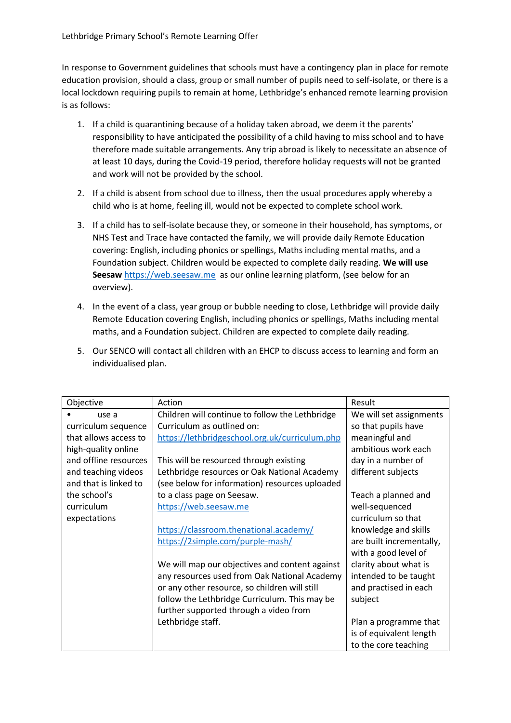In response to Government guidelines that schools must have a contingency plan in place for remote education provision, should a class, group or small number of pupils need to self-isolate, or there is a local lockdown requiring pupils to remain at home, Lethbridge's enhanced remote learning provision is as follows:

- 1. If a child is quarantining because of a holiday taken abroad, we deem it the parents' responsibility to have anticipated the possibility of a child having to miss school and to have therefore made suitable arrangements. Any trip abroad is likely to necessitate an absence of at least 10 days, during the Covid-19 period, therefore holiday requests will not be granted and work will not be provided by the school.
- 2. If a child is absent from school due to illness, then the usual procedures apply whereby a child who is at home, feeling ill, would not be expected to complete school work.
- 3. If a child has to self-isolate because they, or someone in their household, has symptoms, or NHS Test and Trace have contacted the family, we will provide daily Remote Education covering: English, including phonics or spellings, Maths including mental maths, and a Foundation subject. Children would be expected to complete daily reading. **We will use**  Seesaw [https://web.seesaw.me](https://web.seesaw.me/) as our online learning platform, (see below for an overview).
- 4. In the event of a class, year group or bubble needing to close, Lethbridge will provide daily Remote Education covering English, including phonics or spellings, Maths including mental maths, and a Foundation subject. Children are expected to complete daily reading.
- 5. Our SENCO will contact all children with an EHCP to discuss access to learning and form an individualised plan.

| Objective             | Action                                          | Result                   |
|-----------------------|-------------------------------------------------|--------------------------|
| use a                 | Children will continue to follow the Lethbridge | We will set assignments  |
| curriculum sequence   | Curriculum as outlined on:                      | so that pupils have      |
| that allows access to | https://lethbridgeschool.org.uk/curriculum.php  | meaningful and           |
| high-quality online   |                                                 | ambitious work each      |
| and offline resources | This will be resourced through existing         | day in a number of       |
| and teaching videos   | Lethbridge resources or Oak National Academy    | different subjects       |
| and that is linked to | (see below for information) resources uploaded  |                          |
| the school's          | to a class page on Seesaw.                      | Teach a planned and      |
| curriculum            | https://web.seesaw.me                           | well-sequenced           |
| expectations          |                                                 | curriculum so that       |
|                       | https://classroom.thenational.academy/          | knowledge and skills     |
|                       | https://2simple.com/purple-mash/                | are built incrementally, |
|                       |                                                 | with a good level of     |
|                       | We will map our objectives and content against  | clarity about what is    |
|                       | any resources used from Oak National Academy    | intended to be taught    |
|                       | or any other resource, so children will still   | and practised in each    |
|                       | follow the Lethbridge Curriculum. This may be   | subject                  |
|                       | further supported through a video from          |                          |
|                       | Lethbridge staff.                               | Plan a programme that    |
|                       |                                                 | is of equivalent length  |
|                       |                                                 | to the core teaching     |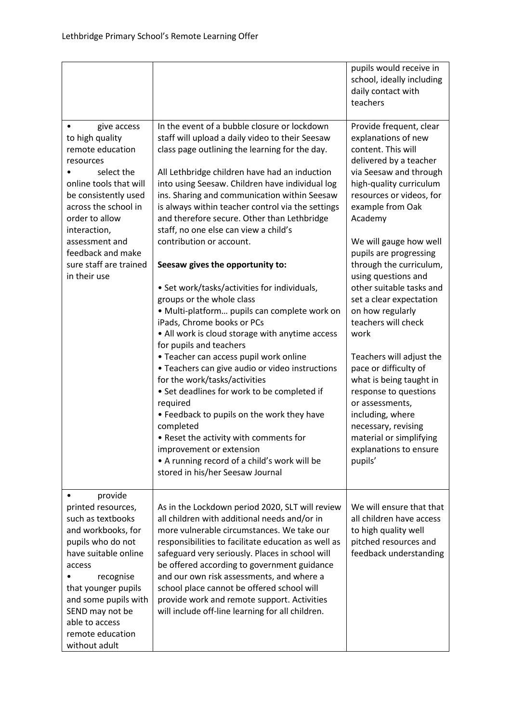|                                                                                                                                                                                                                                                                            |                                                                                                                                                                                                                                                                                                                                                                                                                                                                                                                                                                                                                                                                                                                                                                                                                                                                                                                                                                                                                                                                                                                                                                           | pupils would receive in<br>school, ideally including<br>daily contact with<br>teachers                                                                                                                                                                                                                                                                                                                                                                                                                                                                                                                                                                                |
|----------------------------------------------------------------------------------------------------------------------------------------------------------------------------------------------------------------------------------------------------------------------------|---------------------------------------------------------------------------------------------------------------------------------------------------------------------------------------------------------------------------------------------------------------------------------------------------------------------------------------------------------------------------------------------------------------------------------------------------------------------------------------------------------------------------------------------------------------------------------------------------------------------------------------------------------------------------------------------------------------------------------------------------------------------------------------------------------------------------------------------------------------------------------------------------------------------------------------------------------------------------------------------------------------------------------------------------------------------------------------------------------------------------------------------------------------------------|-----------------------------------------------------------------------------------------------------------------------------------------------------------------------------------------------------------------------------------------------------------------------------------------------------------------------------------------------------------------------------------------------------------------------------------------------------------------------------------------------------------------------------------------------------------------------------------------------------------------------------------------------------------------------|
| give access<br>to high quality<br>remote education<br>resources<br>select the<br>online tools that will<br>be consistently used<br>across the school in<br>order to allow<br>interaction,<br>assessment and<br>feedback and make<br>sure staff are trained<br>in their use | In the event of a bubble closure or lockdown<br>staff will upload a daily video to their Seesaw<br>class page outlining the learning for the day.<br>All Lethbridge children have had an induction<br>into using Seesaw. Children have individual log<br>ins. Sharing and communication within Seesaw<br>is always within teacher control via the settings<br>and therefore secure. Other than Lethbridge<br>staff, no one else can view a child's<br>contribution or account.<br>Seesaw gives the opportunity to:<br>• Set work/tasks/activities for individuals,<br>groups or the whole class<br>· Multi-platform pupils can complete work on<br>iPads, Chrome books or PCs<br>• All work is cloud storage with anytime access<br>for pupils and teachers<br>• Teacher can access pupil work online<br>• Teachers can give audio or video instructions<br>for the work/tasks/activities<br>• Set deadlines for work to be completed if<br>required<br>• Feedback to pupils on the work they have<br>completed<br>• Reset the activity with comments for<br>improvement or extension<br>• A running record of a child's work will be<br>stored in his/her Seesaw Journal | Provide frequent, clear<br>explanations of new<br>content. This will<br>delivered by a teacher<br>via Seesaw and through<br>high-quality curriculum<br>resources or videos, for<br>example from Oak<br>Academy<br>We will gauge how well<br>pupils are progressing<br>through the curriculum,<br>using questions and<br>other suitable tasks and<br>set a clear expectation<br>on how regularly<br>teachers will check<br>work<br>Teachers will adjust the<br>pace or difficulty of<br>what is being taught in<br>response to questions<br>or assessments,<br>including, where<br>necessary, revising<br>material or simplifying<br>explanations to ensure<br>pupils' |
| provide<br>printed resources,<br>such as textbooks<br>and workbooks, for<br>pupils who do not<br>have suitable online<br>access<br>recognise<br>that younger pupils<br>and some pupils with<br>SEND may not be<br>able to access<br>remote education<br>without adult      | As in the Lockdown period 2020, SLT will review<br>all children with additional needs and/or in<br>more vulnerable circumstances. We take our<br>responsibilities to facilitate education as well as<br>safeguard very seriously. Places in school will<br>be offered according to government guidance<br>and our own risk assessments, and where a<br>school place cannot be offered school will<br>provide work and remote support. Activities<br>will include off-line learning for all children.                                                                                                                                                                                                                                                                                                                                                                                                                                                                                                                                                                                                                                                                      | We will ensure that that<br>all children have access<br>to high quality well<br>pitched resources and<br>feedback understanding                                                                                                                                                                                                                                                                                                                                                                                                                                                                                                                                       |